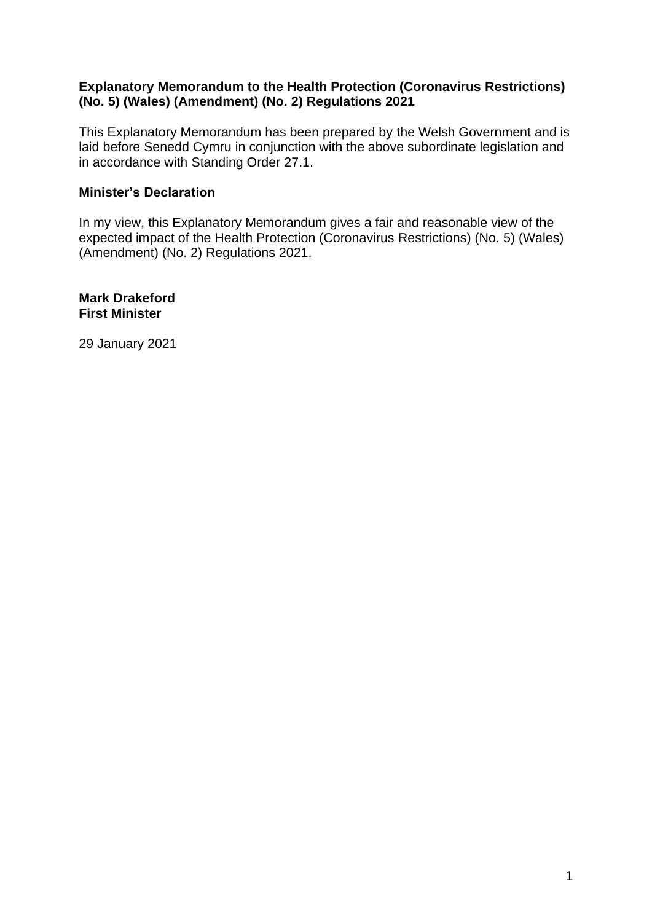## **Explanatory Memorandum to the Health Protection (Coronavirus Restrictions) (No. 5) (Wales) (Amendment) (No. 2) Regulations 2021**

This Explanatory Memorandum has been prepared by the Welsh Government and is laid before Senedd Cymru in conjunction with the above subordinate legislation and in accordance with Standing Order 27.1.

## **Minister's Declaration**

In my view, this Explanatory Memorandum gives a fair and reasonable view of the expected impact of the Health Protection (Coronavirus Restrictions) (No. 5) (Wales) (Amendment) (No. 2) Regulations 2021.

**Mark Drakeford First Minister**

29 January 2021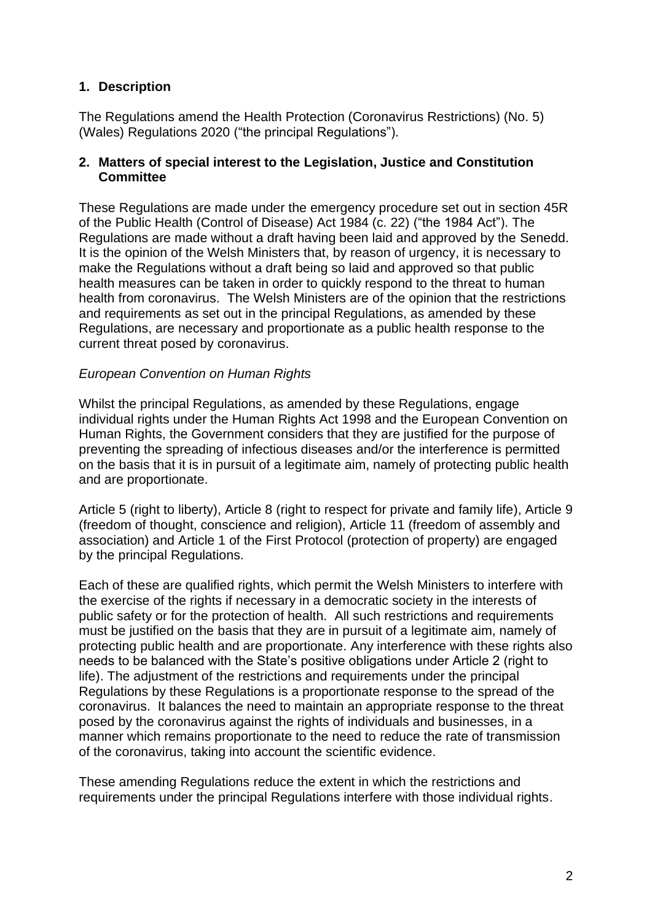# **1. Description**

The Regulations amend the Health Protection (Coronavirus Restrictions) (No. 5) (Wales) Regulations 2020 ("the principal Regulations").

## **2. Matters of special interest to the Legislation, Justice and Constitution Committee**

These Regulations are made under the emergency procedure set out in section 45R of the Public Health (Control of Disease) Act 1984 (c. 22) ("the 1984 Act"). The Regulations are made without a draft having been laid and approved by the Senedd. It is the opinion of the Welsh Ministers that, by reason of urgency, it is necessary to make the Regulations without a draft being so laid and approved so that public health measures can be taken in order to quickly respond to the threat to human health from coronavirus. The Welsh Ministers are of the opinion that the restrictions and requirements as set out in the principal Regulations, as amended by these Regulations, are necessary and proportionate as a public health response to the current threat posed by coronavirus.

## *European Convention on Human Rights*

Whilst the principal Regulations, as amended by these Regulations, engage individual rights under the Human Rights Act 1998 and the European Convention on Human Rights, the Government considers that they are justified for the purpose of preventing the spreading of infectious diseases and/or the interference is permitted on the basis that it is in pursuit of a legitimate aim, namely of protecting public health and are proportionate.

Article 5 (right to liberty), Article 8 (right to respect for private and family life), Article 9 (freedom of thought, conscience and religion), Article 11 (freedom of assembly and association) and Article 1 of the First Protocol (protection of property) are engaged by the principal Regulations.

Each of these are qualified rights, which permit the Welsh Ministers to interfere with the exercise of the rights if necessary in a democratic society in the interests of public safety or for the protection of health. All such restrictions and requirements must be justified on the basis that they are in pursuit of a legitimate aim, namely of protecting public health and are proportionate. Any interference with these rights also needs to be balanced with the State's positive obligations under Article 2 (right to life). The adjustment of the restrictions and requirements under the principal Regulations by these Regulations is a proportionate response to the spread of the coronavirus. It balances the need to maintain an appropriate response to the threat posed by the coronavirus against the rights of individuals and businesses, in a manner which remains proportionate to the need to reduce the rate of transmission of the coronavirus, taking into account the scientific evidence.

These amending Regulations reduce the extent in which the restrictions and requirements under the principal Regulations interfere with those individual rights.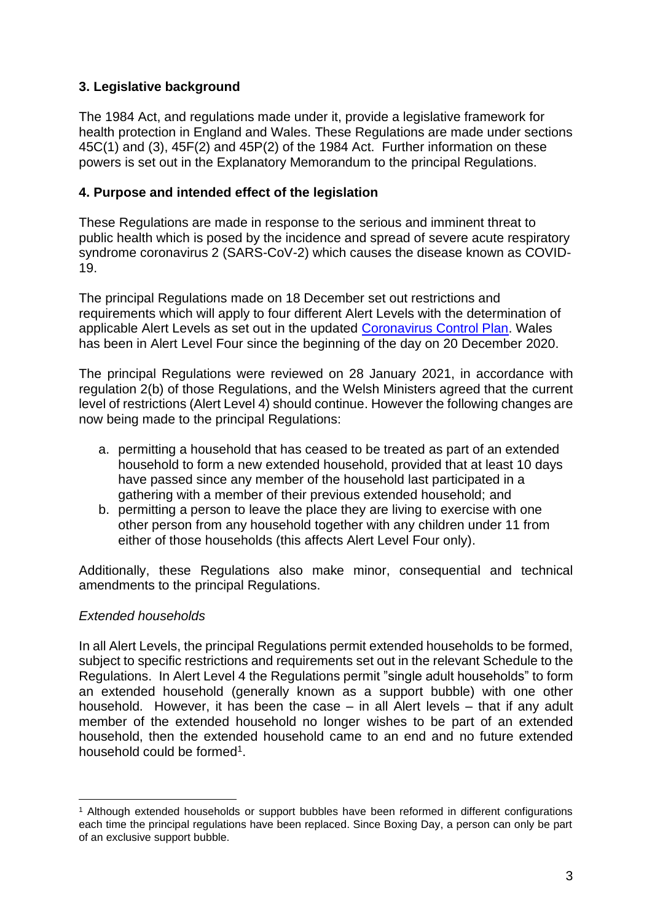# **3. Legislative background**

The 1984 Act, and regulations made under it, provide a legislative framework for health protection in England and Wales. These Regulations are made under sections 45C(1) and (3), 45F(2) and 45P(2) of the 1984 Act. Further information on these powers is set out in the Explanatory Memorandum to the principal Regulations.

## **4. Purpose and intended effect of the legislation**

These Regulations are made in response to the serious and imminent threat to public health which is posed by the incidence and spread of severe acute respiratory syndrome coronavirus 2 (SARS-CoV-2) which causes the disease known as COVID-19.

The principal Regulations made on 18 December set out restrictions and requirements which will apply to four different Alert Levels with the determination of applicable Alert Levels as set out in the updated [Coronavirus Control Plan.](https://gov.wales/coronavirus-control-plan-alert-levels-wales) Wales has been in Alert Level Four since the beginning of the day on 20 December 2020.

The principal Regulations were reviewed on 28 January 2021, in accordance with regulation 2(b) of those Regulations, and the Welsh Ministers agreed that the current level of restrictions (Alert Level 4) should continue. However the following changes are now being made to the principal Regulations:

- a. permitting a household that has ceased to be treated as part of an extended household to form a new extended household, provided that at least 10 days have passed since any member of the household last participated in a gathering with a member of their previous extended household; and
- b. permitting a person to leave the place they are living to exercise with one other person from any household together with any children under 11 from either of those households (this affects Alert Level Four only).

Additionally, these Regulations also make minor, consequential and technical amendments to the principal Regulations.

#### *Extended households*

In all Alert Levels, the principal Regulations permit extended households to be formed, subject to specific restrictions and requirements set out in the relevant Schedule to the Regulations. In Alert Level 4 the Regulations permit "single adult households" to form an extended household (generally known as a support bubble) with one other household. However, it has been the case – in all Alert levels – that if any adult member of the extended household no longer wishes to be part of an extended household, then the extended household came to an end and no future extended household could be formed<sup>1</sup>.

<sup>1</sup> Although extended households or support bubbles have been reformed in different configurations each time the principal regulations have been replaced. Since Boxing Day, a person can only be part of an exclusive support bubble.